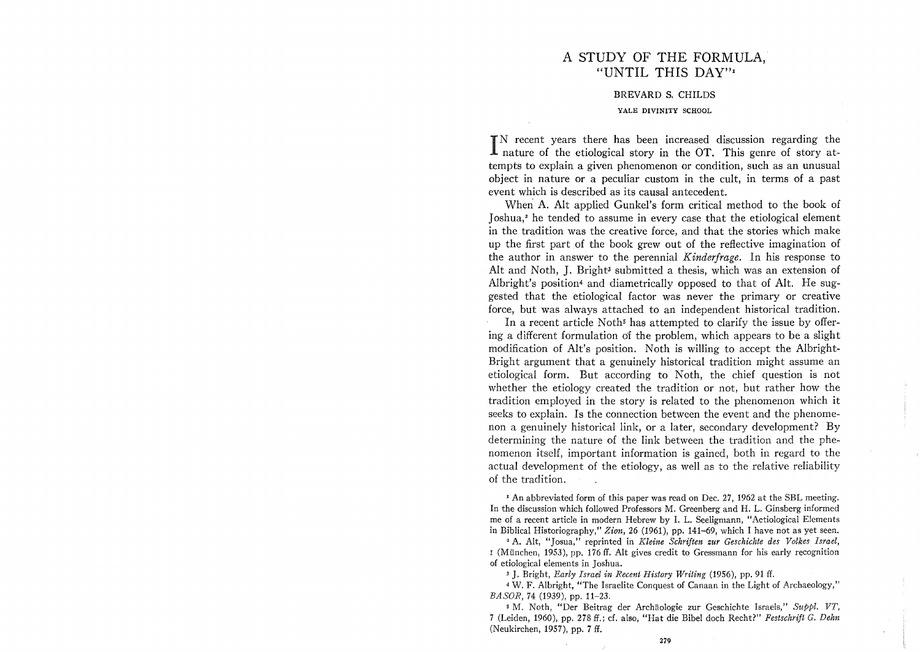# A STUDY OF THE FORMULA, "UNTIL THIS DAY"<sup>1</sup>

#### BREVARD S. CHILDS

#### YALE DIVINITY SCHOOL

IN recent years there has been increased discussion regarding the nature of the etiological story in the OT. This genre of story at-N recent years there has been increased discussion regarding the tempts to explain a given phenomenon or condition, such as an unusual object in nature or a peculiar custom in the cult, in terms of a past event which is described as its causal antecedent.

When A. Alt applied Gunkel's form critical method to the book of Joshua,<sup>2</sup> he tended to assume in every case that the etiological element in the tradition was the creative force, and that the stories which make up the first part of the book grew out of the reflective imagination of the author in answer to the perennial *Kinderjrage.* In his response to Alt and Noth, J. Bright<sup>3</sup> submitted a thesis, which was an extension of Albright's position4 and diametrically opposed to that of Alt. He suggested that the etiological factor was never the primary or creative force, but was always attached to an independent historical tradition.

In a recent article Noth<sup> $\mathfrak s$ </sup> has attempted to clarify the issue by offering a different formulation 6f the problem, which appears to be a slight modification of Alt's position. Noth is willing to accept the Albright-Bright argument that a genuinely historical tradition might assume an etiological form. But according to Noth, the chief question is not whether the etiology created the tradition or not, but rather how the tradition employed in the story is related to the phenomenon which it seeks to explain. Is the connection between the event and the phenomenon a genuinely historical link, or a later, secondary development? By determining the nature of the link between the tradition and the phenomenon itself, important information is gained, both in regard to the actual development of the etiology, as well as to the relative reliability of the tradition.

<sup>1</sup> An abbreviated form of this paper was read on Dec. 27, 1962 at the SBL meeting. In the discussion which followed Professors M. Greenberg and H. L. Ginsberg informed me of a recent article in modern Hebrew by 1. L. Seeligmann, "Aetiological Elements in Biblical Historiography," *Zion,* 26 (1961), pp. 141-69, which I have not as yet seen.

<sup>2</sup> A. Alt, "Josua," reprinted in *Kleine Schriften zur Geschichte des Volkes Israel*, <sup>I</sup>(Miinchen, 1953), pp. 176 ff. Alt gives credit to Gressmann for his early recognition of etiological elements in Joshua.

3 J. Bright, *Early Israel in Recent History Writing* (1956), pp. 91 ff.

4 W. F. Albright, "The Israelite Conquest of Canaan in the Light of Archaeology," *BASOR,* 74 (1939), pp. 11-23.

5 M. Noth, "Der Beitrag der Archaologie zur Geschichte Israels," *S1tppl. vr,*  7 (Leiden, 1960), pp. 278 ff.; cf. also, "Hat die Bibel doch Recht?" *Festschrift G. Dehn*  (Neukirchen, 1957), pp. 7 ff.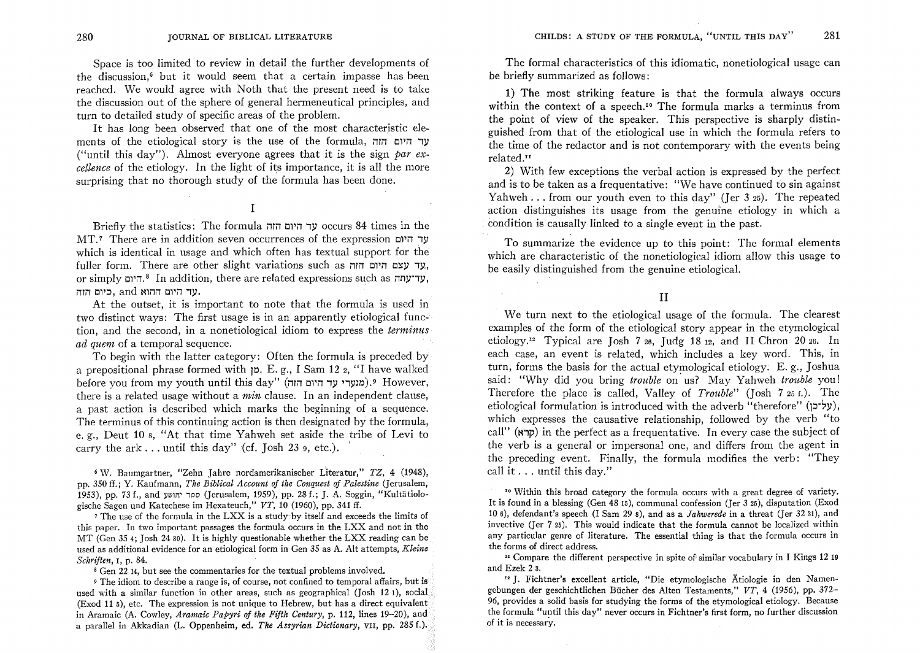Space is too limited to review in detail the further developments of the discussion,<sup> $6$ </sup> but it would seem that a certain impasse has been reached. We would agree with Noth that the present need is to take the discussion out of the sphere of general hermeneutical principles, and turn to detailed study of specific areas of the problem.

It has long been observed that one of the most characteristic elements of the etiological story is the use of the formula, עד היום הוה ("until this day"). Almost everyone agrees that it is the sign *par excellence* of the etiology. In the light of its importance, it is all the more surprising that no thorough study of the formula has been done.

# I

Briefly the statistics: The formula i11i1 01'i1 ,y occurs 84 times in the  $MT$ .<sup>7</sup> There are in addition seven occurrences of the expression  $y$ which is identical in usage and which often has textual support for the fuller form. There are other slight variations such as *חוד* **עצם** היום היום, or simply "היום.<sup>8</sup> In addition, there are related expressions such as "היום, עד היום ההוא and ,כיום הזה.

At the outset, it is important to note that the formula is used in two distinct ways: The first usage is in an apparently etiological function, and the second, in a non etiological idiom to express the *terminus ad quem* of a temporal sequence.

To begin with the latter category: Often the formula is preceded by a prepositional phrase formed with  $p. E. g.$ , I Sam 12 2, "I have walked  $b$ efore you from my youth until this day" (מנערי עד היום הוה).<sup>9</sup> However, there is a related usage without a *min* clause. In an independent clause, a past action is described which marks the beginning of a sequence. The terminus of this continuing action is then designated by the formula, e. g., Deut 10 8, "At that time Yahweh set aside the tribe of Levi to carry the ark ... until this day" (cf. Josh 23  $9.$  etc.).

6 W. Baumgartner, "Zehn Jahre nordamerikanischer Literatur," TZ, 4 (1948), pp. 350 ff.; Y. Kaufmann, *The Biblical Account of the Conquest of Palestine* (Jerusalem, 1953), pp. 73 f., and יהושע (Jerusalem, 1959), pp. 28 f.; J. A. Soggin, "Kultätiologische Sagen und Katechese im Hexateuch," *VT,* 10 (1960), pp. 341 ff.

7 The use of the formula in the LXX is a study-by itself and exceeds the limits of this paper. In two important passages the formula occurs in the LXX and not in the MT (Gen 35 4; Josh 2430). It is highly questionable whether the LXX reading can be used as additional evidence for an etiological form in Gen 35 as A. Alt attempts, *Kleine Schriften,* I, p. 84.

8 Gen 22 14, but see the commentaries for the textual problems involved.

9 The idiom to describe a range is, of course, not confined to temporal affairs, but is used with a similar function in other areas, such as geographical (Josh 12 1), social (Exod 11 5), etc. The expression is not unique to Hebrew, but has a direct equivalent in Aramaic (A. Cowley, *Aramaic Papyri of the Fifth Century,* p. 112, lines 19-20), and a parallel in Akkadian (L. Oppenheim, ed. *The Assyrian Dictionary,* VII, pp. 285 f.).

The formal characteristics of this idiomatic, nonetiological usage can be briefly summarized as follows:

1) The most striking feature is that the formula always occurs within the context of a speech.<sup>10</sup> The formula marks a terminus from the point of view of the speaker. This perspective is sharply distinguished from that of the etiological use in which the formula refers to the time of the redactor and is not contemporary with the events being related.<sup>11</sup>

2) With few exceptions the verbal action is expressed by the perfect and is to be taken as a frequentative: "We have continued to sin against Yahweh ... from our youth even to this day" (Jer  $325$ ). The repeated action distinguishes its usage from the genuine etiology in which a . condition is causally linked to a single event in the past.

To summarize the evidence up to this point: The formal elements which are characteristic of the nonetiological idiom allow this usage to be easily distinguished from the genuine etiological.

II

We turn next to the etiological usage of the formula. The clearest examples of the form of the etiological story appear in the etymological etiology.<sup>12</sup> Typical are Josh 7 26, Judg 18 12, and II Chron 20 26. In each case, an event is related, which includes a key word. This, in turn, forms the basis for the actual etymological etiology. E. g., Joshua said: "Why did you bring *trouble* on' us? May Yahweh *trouble* you! Therefore the place is called, Valley of *Trouble"* (Josh 725 f.). The etiological formulation is introduced with the adverb "therefore" ( $y^2$ y), which expresses the causative relationship, followed by the verb "to call" ( $\sigma$ ip) in the perfect as a frequentative. In every case the subject of the verb is a general or impersonal one, and differs from the agent in the preceding event. Finally, the formula modifies the verb: "They call it ... until this day."

<sup>10</sup> Within this broad category the formula occurs with a great degree of variety. It is found in a blessing (Gen 48 15), communal confession (Jer 3 25), disputation (Exod 106), defendant's speech (I Sam 29 8), and as a *Jahwerede* in a threat (Jer 32 31), and invective (Jer 725). This would indicate that the formula cannot be localized within any particular genre of literature. The essential thing is that the formula occurs in the forms of direct address.

 $\mu$  Compare the different perspective in spite of similar vocabulary in I Kings 12 19 and Ezek 2 3.

<sup>12</sup> J. Fichtner's excellent article, "Die etymologische Ätiologie in den Namengebungen der geschichtlichen BUcher des Alten Testaments," *VT,* 4 (1956), pp. 372- 96, provides a solid basis for studying the forms of the etymological etiology. Because the formula "until this day" never occurs in Fichtner's first form, no further discussion of it is necessary.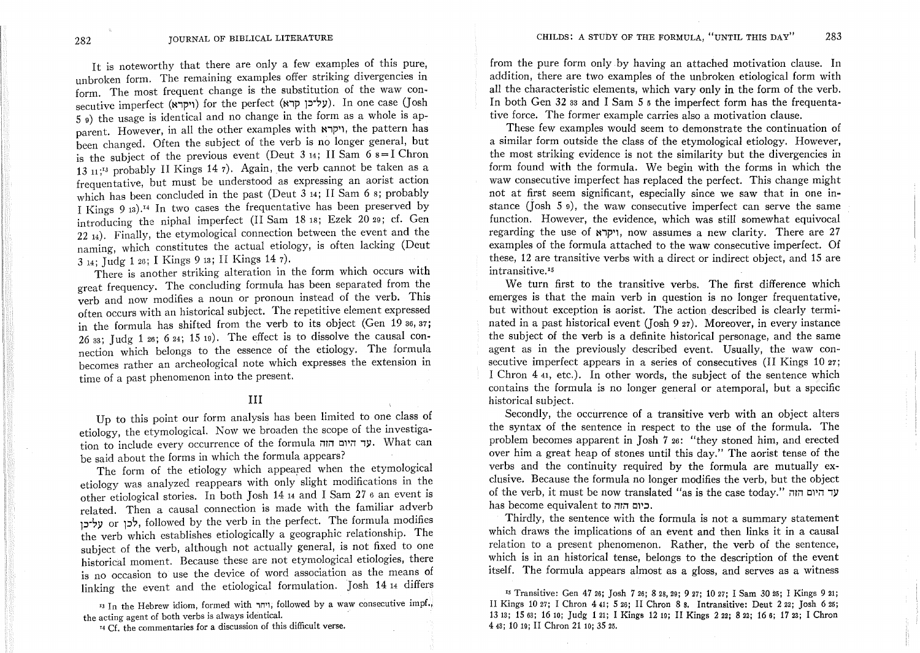It is noteworthy that there are only a few examples of this pure, unbroken form. The remaining examples offer striking divergencies in form. The most frequent change is the substitution of the waw consecutive imperfect (ויקרא) for the perfect (על־כן קרא). In one case (Josh 5 9) the usage is identical and no change in the form as a whole is apparent. However, in all the other examples with "וקרא, the pattern has been changed. Often the subject of the verb is no longer general, but is the subject of the previous event (Deut 3 14; II Sam  $6 s = I$  Chron 13 11;<sup>13</sup> probably II Kings 14 7). Again, the verb cannot be taken as a frequentative, but must be understood as expressing an aorist action which has been concluded in the past (Deut 3 14; II Sam 6 8; probably I Kings 9 13).14 In two cases the frequentative has been preserved by introducing the niphal imperfect (II Sam 18 18; Ezek 20 29; cf. Gen  $22$   $_{14}$ ). Finally, the etymological connection between the event and the naming, which constitutes the actual etiology, is often lacking (Deut 314; Judg 126; I Kings 913; II Kings 147).

There is another striking alteration in the form which occurs with great frequency. The concluding formula has been separated from the verb and now modifies a noun or pronoun instead of the verb. This often occurs with an historical subject. The repetitive element expressed in the formula has shifted from the verb to its object (Gen 19 36,37; 26 $33$ ; Judg 1 $26$ ; 6 $24$ ; 15 $19$ ). The effect is to dissolve the causal connection which belongs to the essence of the etiology. The formula becomes rather an archeological note which expresses the extension in time of a past phenomenon into the present.

### **III**

Up to this point our form analysis has been limited to one class of etiology, the etymological. Now we broaden the scope of the investigation to include every occurrence of the formula ver **17''**. What can be said about the forms in which the formula appears?

The form of the etiology which appeared when the etymological etiology was analyzed reappears with only slight modifications in the other etiological stories. In both Josh 1414 and I Sam 276 an event is related. Then a causal connection is made with the familiar adverb p-?y or P?' followed by the verb in the perfect. The formula modifies the verb which establishes etiologically a geographic relationship. The subject of the verb, although not actually general, is not fixed to one historical moment. Because these are not etymological etiologies, there is no occasion to use the device of word association as the means of linking the event and the etiological formulation. Josh 14 14 differs

<sup>13</sup> In the Hebrew idiom, formed with ,ויחר, followed by a waw consecutive impf., the acting agent of both verbs is always identical.

<sup>14</sup> Cf. the commentaries for a discussion of this difficult verse.

from the pure form only by having an attached motivation clause. In addition, there are two examples of the unbroken etiological form with all the characteristic elements, which vary only in the form of the verb. In both Gen 32 33 and I Sam 5 5 the imperfect form has the frequentative force. The former example carries also a motivation clause.

These few examples would seem to demonstrate the continuation of a similar form outside the class of the etymological etiology. However, the most striking evidence is not the similarity but the divergencies in form found with the formula. We begin with the forms in which the waw consecutive imperfect has replaced the perfect. This change might not at first seem significant, especially since we saw that in one instance ( $\lceil \circ \text{osh}(5) \circ \text{o} \rceil$ ), the waw consecutive imperfect can serve the same function. However, the evidence, which was still somewhat equivocal regarding the use of  $~$ יקרא), now assumes a new clarity. There are 27 examples of the formula attached to the waw consecutive imperfect. Of these, 12 are transitive verbs with a direct or indirect object, and 15 are intransitive.<sup>15</sup>

We turn first to the transitive verbs. The first difference which emerges is that the main verb in question is no longer frequentative, but without exception is aorist. The action described is clearly terminated in a past historical event (Josh 9 27). Moreover, in every instance the subject of the verb is a definite historical personage, and the same agent as in the previously described event. Usually, the waw consecutive imperfect appears in a series of consecutives (II Kings 10 27; I Chron 441, etc.). In other words, the subject of the sentence which contains the formula is no longer general or atemporal, but a specific historical subject.

Secondly, the occurrence of a transitive verb with an object alters the syntax of the sentence in respect to the use of the formula. The problem becomes apparent in Josh 7 26: "they stoned him, and erected over him a great heap of stones until this day." The aorist tense of the verbs and the continuity required by the formula are mutually exclusive. Because the formula no longer modifies the verb, but the object of the verb, it must be now translated "as is the case today." illi1 01'il *1Y*  has become equivalent to היה.

Thirdly, the sentence with the formula is not a summary statement which draws the implications of an event and then links it in a causal relation to a present phenomenon. Rather, the verb of the sentence, which is in an historical tense, belongs to the description of the event itself. The formula appears almost as a gloss, and serves as a witness

IS Transitive: Gen 4726; Josh 726; 828,29; 927; 1027; I Sam 3025; I Kings 921; II Kings 10 27; I Chron 441; 526; II Chron 88. Intransitive: Deut 222; Josh 625; 1313; 1563; 1610; Judg 121; I Kings 1219; II Kings 222; 822; 166; 1723; I Chron 443; 10 19; II Chron 2110; 3525.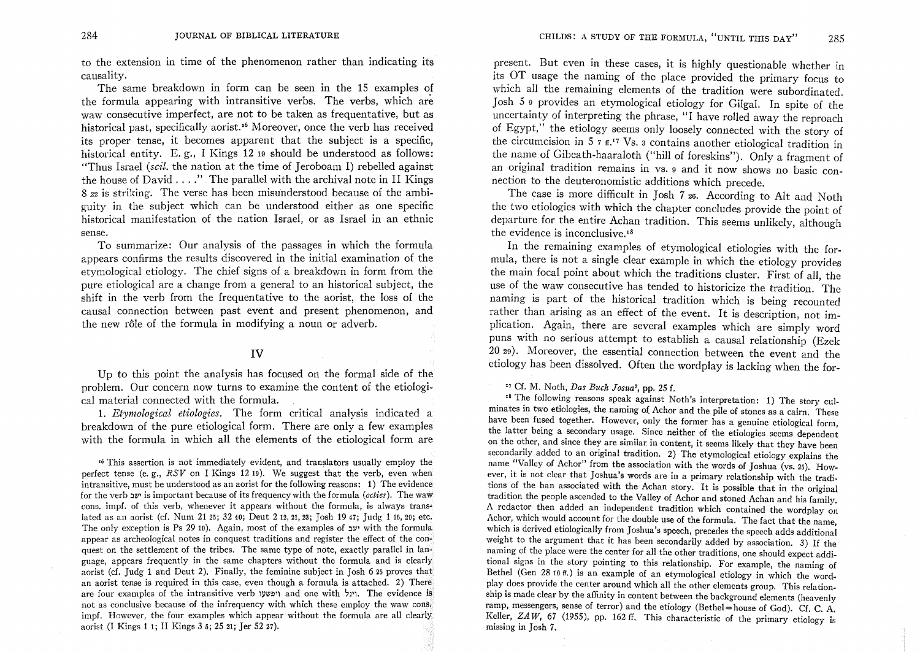to the extension in time of the phenomenon rather than indicating its causality.

The same breakdown in form can be seen in the 15 examples of the formula appearing with intransitive verbs. The verbs, which are waw consecutive imperfect, are not to be taken as frequentative, but as historical past, specifically aorist.<sup>16</sup> Moreover, once the verb has received its proper tense, it becomes apparent that the subject is a specific, historical entity. E.g., I Kings 12 19 should be understood as follows: "Thus Israel *(scil.* the nation at the time of Jeroboam I) rebelled against the house of  $David \dots$ " The parallel with the archival note in II Kings 8 22 is striking. The verse has been misunderstood because of the ambiguity in the subject which can be understood either as one specific historical manifestation of the nation Israel, or as Israel in an ethnic sense.

To summarize: Our analysis of the passages in which the formula appears confirms the results discovered in the initial examination of the etymological etiology. The chief signs of a breakdown in form from the pure etiological are a change from a general to an historical subject, the shift in the verb from the frequentative to the aorist, the loss of the causal connection between past event and present phenomenon, and the new rôle of the formula in modifying a noun or adverb.

## **IV**

Up to this point the analysis has focused on the formal side of the problem. Our concern now turns to examine the content of the etiological material connected with the formula.

1. *Etymological etiologies.* The form critical analysis indicated a breakdown of the pure etiological form. There are only a few examples with the formula in which all the elements of the etiological form are

<sup>16</sup> This assertion is not immediately evident, and translators usually employ the perfect tense (e. g., *RSV* on I Kings 12 19). We suggest that the verb, even when intransitive, must be understood as an aorist for the following reasons: 1) The evidence for the verb :Jill' is important because of its frequency with the formula *(octies).* The waw cons. impf. of this verb, whenever it appears without the formula, is always translated as an aorist (cf. Num 21 25; 32 40; Deut 2 12, 21, 23; Josh 19 47; Judg 1 16, 29; etc. The only exception is Ps 29 10). Again, most of the examples of  $\mathfrak{m}$  with the formula appear as archeological notes in conquest traditions and register the effect of the conquest on the settlement of the tribes. The same type of note, exactly parallel in language, appears frequently in the same chapters without the formula and is clearly aorist (d. Judg 1 and Deut 2). Finally, the feminine subject in Josh 625 proves that an aorist tense is required in this case, even though a formula is attached. 2) There are four examples of the intransitive verb 'ויגל and one with 'ויגל, The evidence is not as conclusive because of the infrequency with which these employ the waw cons. impf. However, the four examples which appear without the formula are all clearly aorist (I Kings 1 1; II Kings 3 5; 25 21; Jer 52 27).

present. But even in these cases, it is highly questionable whether in its OT usage the naming of the place provided the primary focus to which all the remaining elements of the tradition were subordinated. Josh 5 9 provides an etymological etiology for Gilga!. In spite of the uncertainty of interpreting the phrase, "I have rolled away the reproach of Egypt," the etiology seems only loosely connected with the story of the circumcision in  $5 \times 5$   $\pi$ .<sup>17</sup> Vs. 3 contains another etiological tradition in the name of Gibeath-haaraloth ("hill of foreskins"). Only a fragment of an original tradition remains in vs. 9 and it now shows no basic connection to the deuteronomistic additions which precede.

The case is more difficult in Josh 7 26. According to Alt and Noth the two etiologies with which the chapter concludes provide the point of departure for the entire Achan tradition. This seems unlikely, although the evidence is inconclusive. $18$ 

In the remaining examples of etymological etiologies with the formula, there is not a single clear example in which the etiology provides the main focal point about which the traditions cluster. First of all, the use of the waw consecutive has tended to historicize the tradition. The naming is part of the historical tradition which is being recounted rather than arising as an effect of the event. It is description, not implication. Again, there are several examples which are simply word puns with no serious attempt to establish a causal relationship (Ezek 2029). Moreover, the essential connection between the event and the etiology has been dissolved. Often the wordplay is lacking when the for-

'7 Cf. M. Noth, *Das Buck JoSlta2,* pp. 25 f.

.8 The following reasons speak against Noth's interpretation: 1) The story culminates in two etiologies, the naming of Achor and the pile of stones as a cairn. These have been fused together. However, only the former has a genuine etiological form, the latter being a secondary usage. Since neither of the etiologies seems dependent on the other, and since they are similar in content, it seems likely that they have been secondarily added to an original tradition. 2) The etymological etiology explains the name "Valley of Achor" from the association with the words of Joshua (vs. 25). However, it is not clear that Joshua's words are in a primary relationship with the traditions of the ban associated with the Achan story. It is possible that in the original tradition the people ascended to the Valley of Achor and stoned Achan and his family. A redactor then added an independent tradition which contained the wordplay on Achor, which would account for the double use of the formula. The fact that the name which is derived etiologically from Joshua's speech, precedes the speech adds additional weight to the argument that it has been secondarily added by association. 3) If the naming of the place were the center for all the other traditions, one should expect additional signs in the story pointing to this relationship. For example, the naming of Bethel (Gen 28 10 ff.) is an example of an etymological etiology in which the wordplay does provide the center around which all the other elements group. This relationship is made clear by the affinity in content between the background elements (heavenly ramp, messengers, sense of terror) and the etiology (Bethel = house of God). Cf. C. A. Keller,  $ZAW$ , 67 (1955), pp. 162 ff. This characteristic of the primary etiology is missing in Josh 7.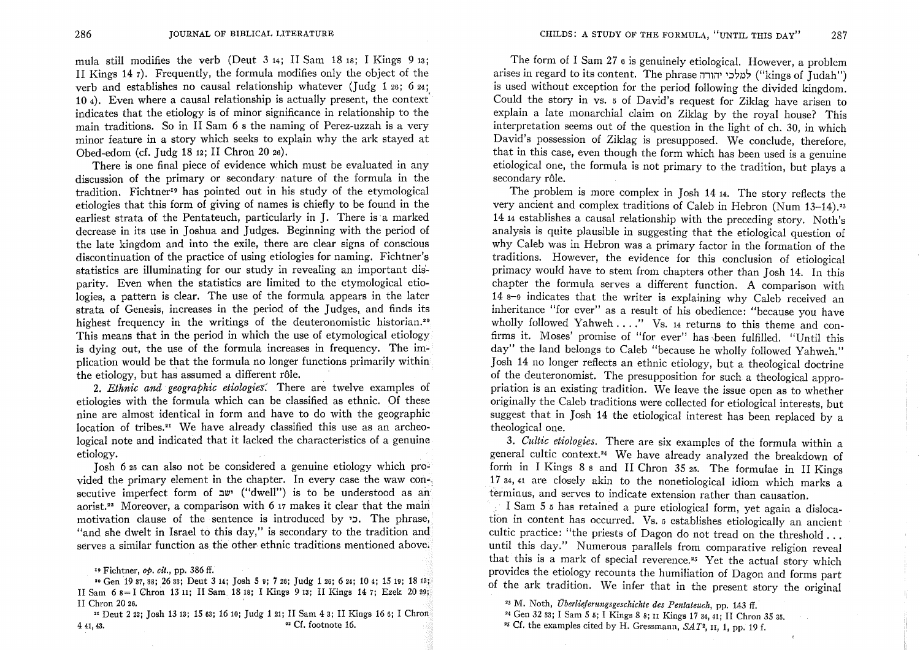CHILDS: A STUDY OF THE FORMULA, "UNTIL THIS DAY" 287

mula still modifies the verb (Deut 3 14; II Sam 18 18; I Kings 9 13; II Kings 14 7). Frequently, the formula modifies only the object of the verb and establishes no causal relationship whatever (Judg 1 26; 6 24; 104). Even where a causal relationship is actually present, the context' indicates that the etiology is of minor significance in relationship to the main traditions. So in II Sam 6 8 the naming of Perez-uzzah is a very minor feature in a story which seeks to explain why the ark stayed at Obed-edom (cf. Judg 18 12; II Chron 20 26).

There is one final piece of evidence which must be evaluated in any discussion of the primary or secondary nature of the formula in the tradition. Fichtner<sup>19</sup> has pointed out in his study of the etymological etiologies that this form of giving of names is chiefly to be found in the earliest strata of the Pentateuch, particularly in J. There is a marked decrease in its use in Joshua and Judges. Beginning with the period of the late kingdom and into the exile, there are clear signs of conscious discontinuation of the practice of using etiologies for naming. Fichtner's statistics are illuminating for our study in revealing an important disparity. Even when the statistics are limited to the etymological etiologies, a pattern is clear. The use of the formula appears in the later strata of Genesis, increases in the period of the Judges, and finds its highest frequency in the writings of the deuteronomistic historian.<sup>20</sup> This means that in the period in which the use of etymological etiology is dying out, the use of the formula increases in frequency. The implication would be that the formula no longer functions primarily within the etiology, but has assumed a different rôle.

*2. Ethnic and geographic etiologieS.* There are twelve examples of etiologies with the formula which can be classified as ethnic. Of these nine are almost identical in form and have to do with the geographic location of tribes.<sup> $21$ </sup> We have already classified this use as an archeological note and indicated that it lacked the characteristics of a genuine etiology.

Losh 6 25 can also not be considered a genuine etiology which provided the primary element in the chapter. In every case the waw con-. secutive imperfect form of  $x^w$  ("dwell") is to be understood as an aorist.<sup>22</sup> Moreover, a comparison with 6 17 makes it clear that the main motivation clause of the sentence is introduced by  $\mathcal{L}$ . The phrase, "and she dwelt in Israel to this day," is secondary to the tradition and serves a similar function as the other ethnic traditions mentioned above.

The form of I Sam 27 6 is genuinely etiological. However, a problem arises in regard to its content. The phrase ''') למלכי יהודה ("kings of Judah") is used without exception for the period following the divided kingdom. Could the story in vs. 5 of David's request for Ziklag have arisen to explain a late monarchial claim on Ziklag by the royal house? This interpretation seems out of the question in the light of ch. 30, in which David's possession of Ziklag is presupposed. We conclude, therefore, that in this case, even though the form which has been used is a genuine etiological one, the formula is not primary to the tradition, but plays a secondary rôle.

The problem is more complex in Josh 14 14. The story reflects the very ancient and complex traditions of Caleb in Hebron (Num 13-14).<sup>23</sup> 1414 establishes a causal relationship with the preceding story. Noth's analysis is quite plausible in suggesting that the etiological question of why Caleb was in Hebron was a primary factor in the formation of the traditions. However, the evidence for this conclusion of etiological primacy would have to stem from chapters other than Josh 14. In this chapter the formula serves a different function. A comparison with 14 8-9 indicates that the writer is explaining why Caleb received an inheritance "for ever" as a result of his obedience: "because you have wholly followed Yahweh ...." Vs. 14 returns to this theme and confirms it. Moses' promise of "for ever" has \been fulfilled. "Until this day" the land belongs to Caleb "because he wholly followed Yahweh." Josh 14 no longer reflects an ethnic etiology, but a theological doctrine of the deuteronomist. The presupposition for such a theological appropriation is an existing tradition. We leave the issue open as to whether originally the Caleb traditions were collected for etiological interests, but suggest that in Josh 14 the etiological interest has been replaced by a theological one.

*3. Cultie etiologies.* There are six examples of the formula within a general cultic context.<sup>24</sup> We have already analyzed the breakdown of form in I Kings 8 8 and II Chron 35 25. The formulae in II Kings  $17$  34, 41 are closely akin to the nonetiological idiom which marks a terminus, and serves to indicate extension rather than causation.

I Sam 5 5 has retained a pure etiological form, yet again a dislocation in content has occurred. Vs. 5 establishes etiologically an ancient cultic practice: "the priests of Dagon do not tread on the threshold ... until this day." Numerous parallels from comparative religion reveal that this is a mark of special reverence.<sup>25</sup> Yet the actual story which provides the etiology recounts the humiliation of Dagon and forms part of the ark tradition. We infer that in the present story the original

- 24 Gen 32 33; I Sam 5 5; I Kings 8 8; II Kings 17 34, 41; II Chron 35 35.
- 25 Cf. the examples cited by H. Gressmann, *SAT2,* II, 1, pp. 19 f.

<sup>19</sup> Fichtner, *op. cit.,* pp. 386 ff.

<sup>&</sup>quot; Gen 1937,38; 2633; Deut 314; Josh 5 9; 726; Judg 126; 624; 104; 1519; 1812; II Sam 68== I Chron 1311; II Sam 1818; I Kings 913; II Kings 147; Ezek 2029; II Chron 20 26.

<sup>21</sup> Deut 222; Josh 1313; 1563; 1610; Judg 121; II Sam 43; II Kings 166; I Chron 4 41, 43. <sup>22</sup> Cf. footnote 16.

<sup>23</sup> M. Noth, *Uberliejerungsgeschichie des Pentateuch,* pp. 143 ff.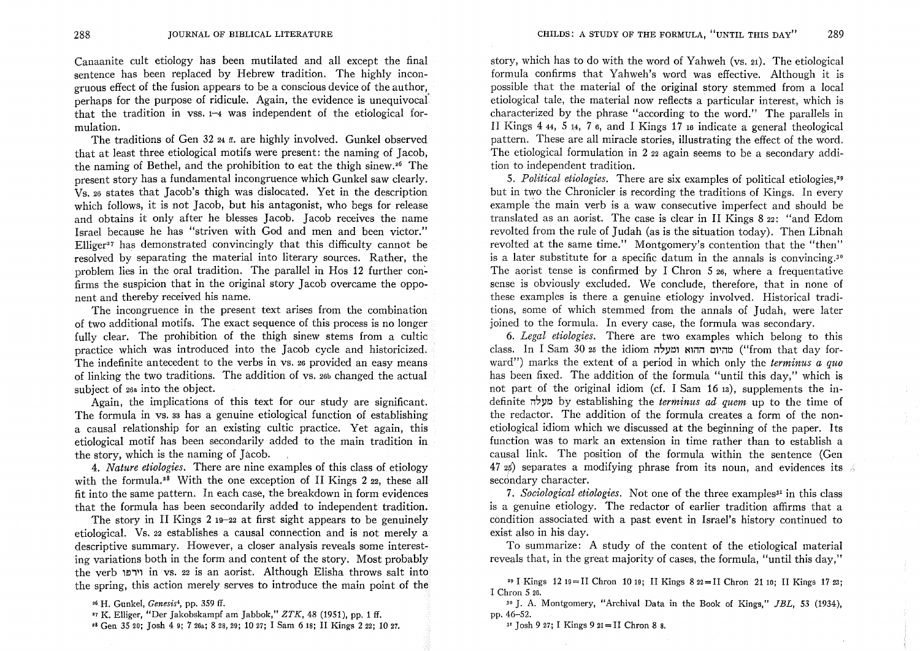Canaanite cult etiology has been mutilated and all except the final sentence has been replaced by Hebrew tradition. The highly incongruous effect of the fusion appears to be a conscious device of the author, perhaps for the purpose of ridicule. Again, the evidence is unequivocal' that the tradition in vss. 1-4 was independent of the etiological formulation.

The traditions of Gen 32 <sub>24 ff</sub>. are highly involved. Gunkel observed that at least three etiological motifs were present: the naming of Jacob, the naming of Bethel, and the prohibition to eat the thigh sinew. 26 The present story has a fundamental incongruence which Gunkel saw clearly. VS.26 states that Jacob's thigh was dislocated. Yet in the description which follows, it is not Jacob, but his antagonist, who begs for release and obtains it only after he blesses Jacob. Jacob receives the name Israel because he has "striven with God and men and been victor." Elliger<sup>2</sup> 7 has demonstrated convincingly that this difficulty cannot be resolved by separating the material into literary sources. Rather, the problem lies in the oral tradition. The parallel in Hos 12 further confirms the suspicion that in the original story Jacob overcame the opponent and thereby received his name.

The incongruence in the present text arises from the combination of two additional motifs. The exact sequence of this process is no longer fully clear. The prohibition of the thigh sinew stems from a cultic practice which was introduced into the Jacob cycle and historicized. The indefinite antecedent to the verbs in vs. 26 provided an easy means of linking the two traditions. The addition of vs. 26b changed the actual subject of 26<sup>a</sup> into the object.

Again, the implications of this text for our study are significant. The formula in vs. 33 has a genuine etiological function of establishing a causal relationship for an existing cultic practice. Yet again, this etiological motif has been secondarily added to the main tradition in the story, which is the naming of Jacob.

*4. Nature etiologies.* There are nine examples of this class of etiology with the formula.<sup>28</sup> With the one exception of II Kings  $2 \text{ }_{22}$ , these all fit into the same pattern. In each case, the breakdown in form evidences that the formula has been secondarily added to independent tradition.

The story in II Kings 2 19-22 at first sight appears to be genuinely etiological. Vs. 22 establishes a causal connection and is not merely a descriptive summary. However, a closer analysis reveals some interesting variations both in the form and content of the story. Most probably the verb 1f)"1 in vs. 22 is an aorist. Although Elisha throws salt into the spring, this action merely serves to introduce the main point of the

story, which has to do with the word of Yahweh (vs. 21). The etiological formula confirms that Yahweh's word was effective. Although it is possible that the material of the original story stemmed from a local etiological tale, the material now reflects a particular interest, which is characterized by the phrase "according to the word." The parallels in II Kings 4 44, 5 14, 7 6, and I Kings 17 16 indicate a general theological pattern. These are all miracle stories, illustrating the effect of the word. The etiological formulation in 2 22 again seems to be a secondary addition to independent tradition.

*5. Political etiologies.* There are six examples of political etiologies,'9 but in two the Chronicler is recording the traditions of Kings. In every example 'the main verb is a waw consecutive imperfect and should be translated as an aorist. The case is clear in II Kings  $822$ : "and Edom revolted from the rule of Judah (as is the situation today). Then Libnah revolted at the same time." Montgomery's contention that the "then" is a later substitute for a specific datum in the annals is convincing.<sup>30</sup> The aorist tense is confirmed by I Chron 5 26, where a frequentative sense is obviously excluded. We conclude, therefore, that in none of these examples is there a genuine etiology involved. Historical traditions, some of which stemmed from the annals of Judah, were later ioined to the formula. In every case, the formula was secondary.

*6. Legal etiologies.* There are two examples which belong to this class. In I Sam 30 25 the idiom ומעלה ומעלה ("from that day forward") marks the extent of a period in which only the *terminus a quo*  has been fixed. The addition of the formula "until this day," which is not part of the original idiom (cf. I Sam 16 13), supplements the indefinite i1~Y~ by establishing the *terminus ad quem* up to the time of the redactor. The addition of the formula creates a form of the nonetiological idiom which we discussed at the beginning of the paper. Its function was to mark an extension in time rather than to establish a causal link. The position of the formula within the sentence (Gen 47  $25$ ) separates a modifying phrase from its noun, and evidences its  $\Diamond$ secondary character.

7. Sociological etiologies. Not one of the three examples<sup>31</sup> in this class is a genuine etiology. The redactor of earlier tradition affirms that a condition associated with a past event in Israel's history continued to exist also in his day.

To summarize: A study of the content of the etiological material reveals that, in the great majority of cases, the formula, "until this day,"

30 J. A. Montgomery, "Archival Data in the Book of Kings," *JBL,* 53 (1934), pp.46-52.

 $3'$  Josh 9 27; I Kings 9 21 = II Chron 8 8.

<sup>&#</sup>x27;6. H. Gunkel, *Genesis4,* pp. 359 ff.

<sup>&#</sup>x27;7 K. Elliger, "Der Jakobskampf am Jabbok," *ZTK,* 48 (1951), pp. 1 ff.

<sup>,8</sup> Gen 3520; Josh 4 9; 726.; 828,29; 1027; I Sam 618; II Kings 222; 1027.

<sup>291</sup> Kings 1219=IIChron 1019; lIKings 822=lIChron 2110; lIKings 1723; I Chron 5 26.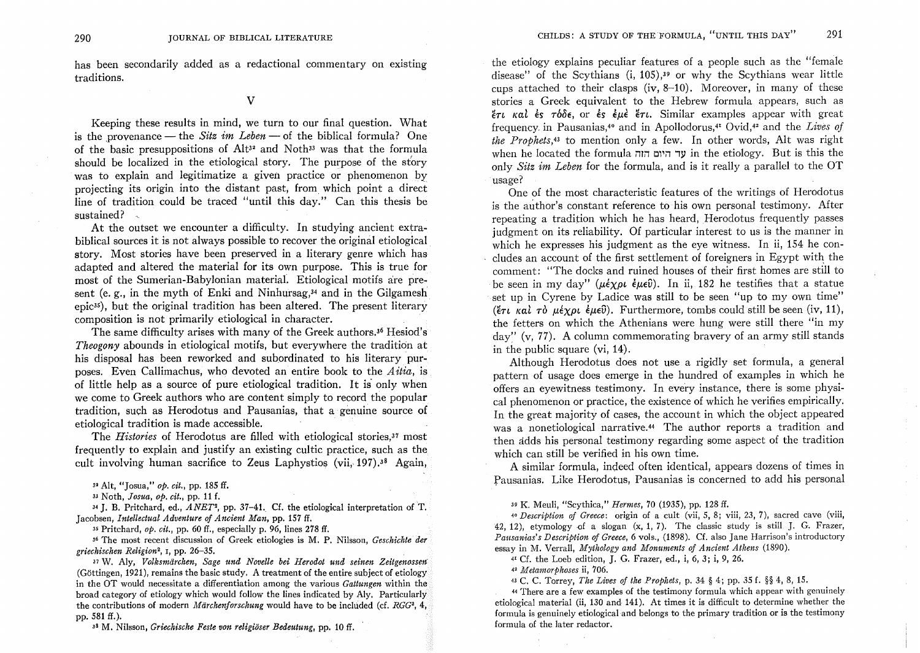has been secondarily added as a redactional commentary on existing traditions.

### v

Keeping these results in mind, we turn to our final question. What is the provenance — the *Sitz im Leben* — of the biblical formula? One of the basic presuppositions of  $Alt^{32}$  and Noth<sup>33</sup> was that the formula should be localized in the etiological story. The purpose of the story was to explain and legitimatize a given practice or phenomenon by projecting its origin into the distant past, from which point a direct line of tradition could be traced "until this day." Can this thesis be sustained?

At the outset we encounter a difficulty. In studying ancient extrabiblical sources it is not always possible to recover the original etiological story. Most stories have been preserved in a literary genre which has adapted and altered the material for its own purpose. This is true for most of the Sumerian-Babylonian material. Etiological motifs are present (e. g., in the myth of Enki and Ninhursag, $34$  and in the Gilgamesh epic35), but the original tradition has been altered. The present literary composition is not primarily etiological in character.

The same difficulty arises with many of the Greek authors.<sup>36</sup> Hesiod's *Theogony* abounds in etiological motifs, but everywhere the tradition at his disposal has been reworked and subordinated to his literary purposes. Even Callimachus, who devoted an entire book to the *Aitia*, is of little help as a source of pure etiological tradition. It is only when we come to Greek authors who are content simply to record the popular tradition, such as Herodotus and Pausanias, that a genuine source of etiological tradition is made accessible.

The *Histories* of Herodotus are filled with etiological stories,37 most frequently to explain and justify an existing cultic practice, such as the cult involving human sacrifice to Zeus Laphystios (vii, 197).<sup>38</sup> Again,

 $34$  J. B. Pritchard, ed.,  $ANET^2$ , pp. 37-41. Cf. the etiological interpretation of T. Jacobsen, *Intellectual Adventure of Ancient Man,* pp. 157 ff.

35 Pritchard, *op. cit.,* pp. 60 ff., especially p. 96, lines 278 ff.

36 The most recent discussion of Greek etiologies is M. P. Nilsson, *Geschichte der griechischen Religion2,* I, pp. 26-35.

31 W. Aly, *Volksmiirchen, Sage und Novelle bei Herodot und seinen Zeitgenossen*  (G6ttingen, 1921), remains the basic study. A treatment of the entire subject of etiology in the OT would necessitate a differentiation among the various *Gattungen* within the broad category of etiology which would follow the lines indicated by Aly. Particularly the contributions of modern *Märchenforschung* would have to be included (cf. *RGG*<sup>3</sup>, 4, pp. 581 ff.).

38 M. Nilsson, *Griechische Feste von religioser Bedeutung,* pp. 10 ff.

the etiology explains peculiar features of a people such as the "female disease" of the Scythians (i, 105),39 or why the Scythians wear little cups attached to their clasps (iv,  $8-10$ ). Moreover, in many of these stories a Greek equivalent to the Hebrew formula appears, such as  $n\pi$  Kal es  $\tau b\delta \epsilon$ , or es eue et . Similar examples appear with great frequency, in Pausanias,40 and in Apollodorus,41 Ovid,42 and the *Lives of the Prophets,43* to mention only a few. In other words, Alt was right when he located the formula *ו*וד היום הוה the etiology. But is this the only *Sitz im Leben* for the formula, and is it really a parallel to the OT usage?

One of the most characteristic features of the writings of Herodotus is the author's constant reference to his own personal testimony. After repeating a tradition which he has heard, Herodotus frequently passes judgment on its reliability. Of particular interest to us is the manner in which he expresses his judgment as the eye witness. In ii, 154 he concludes an account of the first settlement of foreigners in Egypt with the comment: "The docks and ruined houses of their first homes are still to be seen in my day" *(* $\mu \in \chi \rho \iota \in \mathbb{R}$ *)*. In ii, 182 he testifies that a statue set up in Cyrene by Ladice was still to be seen "up to my own time" ( $\ell \tau \iota$  *kai*  $\tau \delta$   $\mu \epsilon \chi \rho \iota \epsilon \mu \epsilon \hat{v}$ ). Furthermore, tombs could still be seen (iv, 11), the fetters on which the Athenians were hung were still there "in my  $\alpha$ <sup>'</sup> (v, 77). A column commemorating bravery of an army still stands in the public square (vi, 14).

Although Herodotus does not use a rigidly set formula, a general pattern of usage does emerge in the hundred of examples in which he. offers an eyewitness testimony. In every instance, there is some physical phenomenon or practice, the existence of which he verifies empirically. In the great majority of cases, the account in which the object appeared was a nonetiological narrative.<sup>44</sup> The author reports a tradition and then adds his personal testimony regarding some aspect of the tradition which can still be verified in his own time.

A similar formula, indeed often identical, appears dozens of times in fausanias. Like Herodotus, Pausanias is concerned to add his personal

<sup>39</sup>K. Meuli, "Scythica," *Hermes,* 70 (1935), pp. 128 ff.

*40 Description of Greece:* origin of a cult (vii, 5, 8; viii, 23, 7), sacred cave (viii, 42, 12), etymology of a slogan  $(x, 1, 7)$ . The classic study is still J. G. Frazer, *Pausanias's Description of Greece,* 6 vols., (1898). Cf. also Jane Harrison's introductory essay in M. Verrall, *Mythology and Monuments of Ancient Athens (1890).* 

41 Cf. the Loeb edition, J. G. Frazer, ed., i, 6, 3; i, 9, 26.

<sup>42</sup>*Metamorphoses* ii, 706.

<sup>43</sup>C. C. Torrey, *The Lives of the Prophets,* p. 34 § 4; pp. 35 f. §§ 4, 8, 15.

<sup>44</sup>There are a few examples of the testimony formula which appear with genuinely etiological material (ii, 130 and 141). At times it is difficult to determine whether the formula is genuinely etiological and belongs to the primary tradition or is the testimony formula of the later redactor.

<sup>3&#</sup>x27; Alt, "Josua," *op. cit.,* pp. 185 ff.

<sup>33</sup> Noth, *Josua, op. cit.,* pp. 11 f.